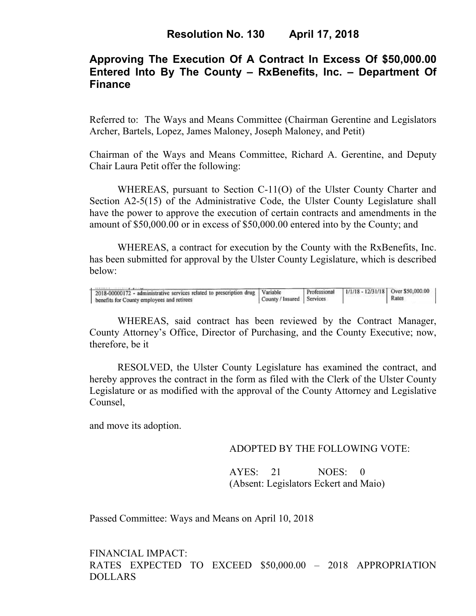# **Approving The Execution Of A Contract In Excess Of \$50,000.00 Entered Into By The County – RxBenefits, Inc. – Department Of Finance**

Referred to: The Ways and Means Committee (Chairman Gerentine and Legislators Archer, Bartels, Lopez, James Maloney, Joseph Maloney, and Petit)

Chairman of the Ways and Means Committee, Richard A. Gerentine, and Deputy Chair Laura Petit offer the following:

WHEREAS, pursuant to Section C-11(O) of the Ulster County Charter and Section A2-5(15) of the Administrative Code, the Ulster County Legislature shall have the power to approve the execution of certain contracts and amendments in the amount of \$50,000.00 or in excess of \$50,000.00 entered into by the County; and

 WHEREAS, a contract for execution by the County with the RxBenefits, Inc. has been submitted for approval by the Ulster County Legislature, which is described below:

| 2018-00000172 - administrative services related to prescription drug Variable |                             | Professional   1/1/18 - 12/31/18   Over \$50,000.00 |       |  |
|-------------------------------------------------------------------------------|-----------------------------|-----------------------------------------------------|-------|--|
| benefits for County employees and retirees                                    | County / Insured   Services |                                                     | Rates |  |

WHEREAS, said contract has been reviewed by the Contract Manager, County Attorney's Office, Director of Purchasing, and the County Executive; now, therefore, be it

RESOLVED, the Ulster County Legislature has examined the contract, and hereby approves the contract in the form as filed with the Clerk of the Ulster County Legislature or as modified with the approval of the County Attorney and Legislative Counsel,

and move its adoption.

#### ADOPTED BY THE FOLLOWING VOTE:

AYES: 21 NOES: 0 (Absent: Legislators Eckert and Maio)

Passed Committee: Ways and Means on April 10, 2018

FINANCIAL IMPACT: RATES EXPECTED TO EXCEED \$50,000.00 – 2018 APPROPRIATION DOLLARS